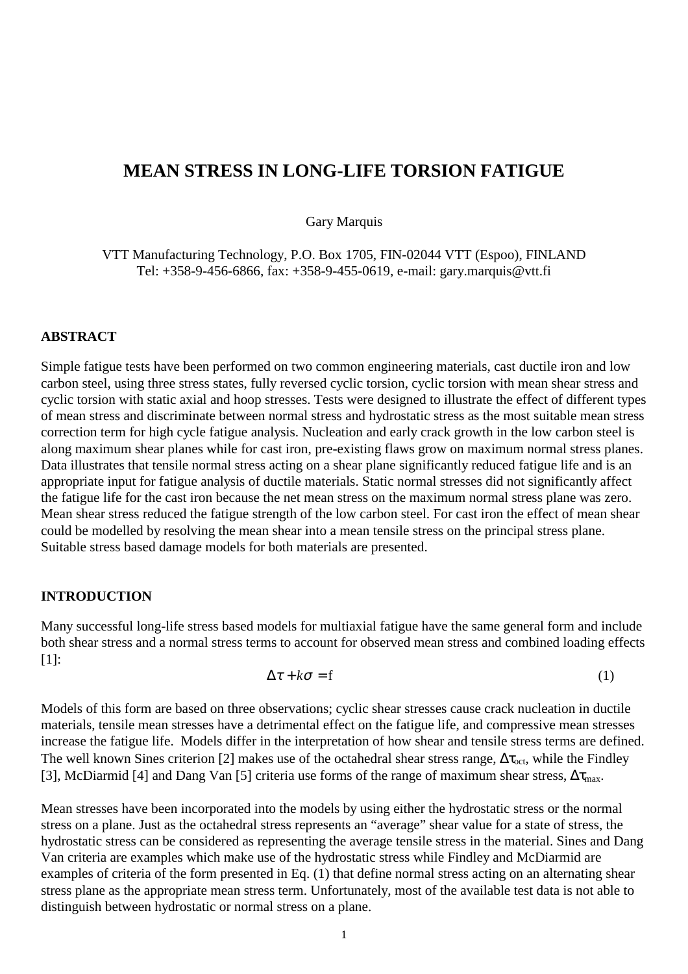# **MEAN STRESS IN LONG-LIFE TORSION FATIGUE**

Gary Marquis

VTT Manufacturing Technology, P.O. Box 1705, FIN-02044 VTT (Espoo), FINLAND Tel: +358-9-456-6866, fax: +358-9-455-0619, e-mail: gary.marquis@vtt.fi

#### **ABSTRACT**

Simple fatigue tests have been performed on two common engineering materials, cast ductile iron and low carbon steel, using three stress states, fully reversed cyclic torsion, cyclic torsion with mean shear stress and cyclic torsion with static axial and hoop stresses. Tests were designed to illustrate the effect of different types of mean stress and discriminate between normal stress and hydrostatic stress as the most suitable mean stress correction term for high cycle fatigue analysis. Nucleation and early crack growth in the low carbon steel is along maximum shear planes while for cast iron, pre-existing flaws grow on maximum normal stress planes. Data illustrates that tensile normal stress acting on a shear plane significantly reduced fatigue life and is an appropriate input for fatigue analysis of ductile materials. Static normal stresses did not significantly affect the fatigue life for the cast iron because the net mean stress on the maximum normal stress plane was zero. Mean shear stress reduced the fatigue strength of the low carbon steel. For cast iron the effect of mean shear could be modelled by resolving the mean shear into a mean tensile stress on the principal stress plane. Suitable stress based damage models for both materials are presented.

## **INTRODUCTION**

Many successful long-life stress based models for multiaxial fatigue have the same general form and include both shear stress and a normal stress terms to account for observed mean stress and combined loading effects [1]:

$$
\Delta \tau + k \sigma = f \tag{1}
$$

Models of this form are based on three observations; cyclic shear stresses cause crack nucleation in ductile materials, tensile mean stresses have a detrimental effect on the fatigue life, and compressive mean stresses increase the fatigue life. Models differ in the interpretation of how shear and tensile stress terms are defined. The well known Sines criterion [2] makes use of the octahedral shear stress range,  $\Delta\tau_{\rm oct}$ , while the Findley [3], McDiarmid [4] and Dang Van [5] criteria use forms of the range of maximum shear stress,  $\Delta \tau_{\text{max}}$ .

Mean stresses have been incorporated into the models by using either the hydrostatic stress or the normal stress on a plane. Just as the octahedral stress represents an "average" shear value for a state of stress, the hydrostatic stress can be considered as representing the average tensile stress in the material. Sines and Dang Van criteria are examples which make use of the hydrostatic stress while Findley and McDiarmid are examples of criteria of the form presented in Eq. (1) that define normal stress acting on an alternating shear stress plane as the appropriate mean stress term. Unfortunately, most of the available test data is not able to distinguish between hydrostatic or normal stress on a plane.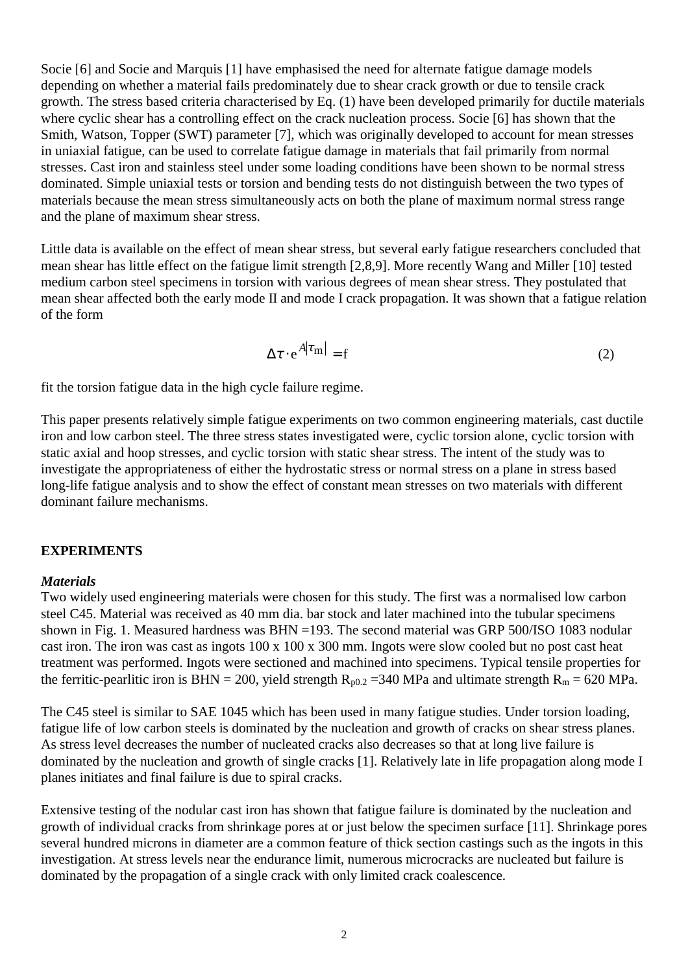Socie [6] and Socie and Marquis [1] have emphasised the need for alternate fatigue damage models depending on whether a material fails predominately due to shear crack growth or due to tensile crack growth. The stress based criteria characterised by Eq. (1) have been developed primarily for ductile materials where cyclic shear has a controlling effect on the crack nucleation process. Socie [6] has shown that the Smith, Watson, Topper (SWT) parameter [7], which was originally developed to account for mean stresses in uniaxial fatigue, can be used to correlate fatigue damage in materials that fail primarily from normal stresses. Cast iron and stainless steel under some loading conditions have been shown to be normal stress dominated. Simple uniaxial tests or torsion and bending tests do not distinguish between the two types of materials because the mean stress simultaneously acts on both the plane of maximum normal stress range and the plane of maximum shear stress.

Little data is available on the effect of mean shear stress, but several early fatigue researchers concluded that mean shear has little effect on the fatigue limit strength [2,8,9]. More recently Wang and Miller [10] tested medium carbon steel specimens in torsion with various degrees of mean shear stress. They postulated that mean shear affected both the early mode II and mode I crack propagation. It was shown that a fatigue relation of the form

$$
\Delta \tau \cdot e^{A|\tau_m|} = f \tag{2}
$$

fit the torsion fatigue data in the high cycle failure regime.

This paper presents relatively simple fatigue experiments on two common engineering materials, cast ductile iron and low carbon steel. The three stress states investigated were, cyclic torsion alone, cyclic torsion with static axial and hoop stresses, and cyclic torsion with static shear stress. The intent of the study was to investigate the appropriateness of either the hydrostatic stress or normal stress on a plane in stress based long-life fatigue analysis and to show the effect of constant mean stresses on two materials with different dominant failure mechanisms.

#### **EXPERIMENTS**

#### *Materials*

Two widely used engineering materials were chosen for this study. The first was a normalised low carbon steel C45. Material was received as 40 mm dia. bar stock and later machined into the tubular specimens shown in Fig. 1. Measured hardness was BHN =193. The second material was GRP 500/ISO 1083 nodular cast iron. The iron was cast as ingots 100 x 100 x 300 mm. Ingots were slow cooled but no post cast heat treatment was performed. Ingots were sectioned and machined into specimens. Typical tensile properties for the ferritic-pearlitic iron is BHN = 200, yield strength  $R_{p0.2}$  =340 MPa and ultimate strength  $R_m$  = 620 MPa.

The C45 steel is similar to SAE 1045 which has been used in many fatigue studies. Under torsion loading, fatigue life of low carbon steels is dominated by the nucleation and growth of cracks on shear stress planes. As stress level decreases the number of nucleated cracks also decreases so that at long live failure is dominated by the nucleation and growth of single cracks [1]. Relatively late in life propagation along mode I planes initiates and final failure is due to spiral cracks.

Extensive testing of the nodular cast iron has shown that fatigue failure is dominated by the nucleation and growth of individual cracks from shrinkage pores at or just below the specimen surface [11]. Shrinkage pores several hundred microns in diameter are a common feature of thick section castings such as the ingots in this investigation. At stress levels near the endurance limit, numerous microcracks are nucleated but failure is dominated by the propagation of a single crack with only limited crack coalescence.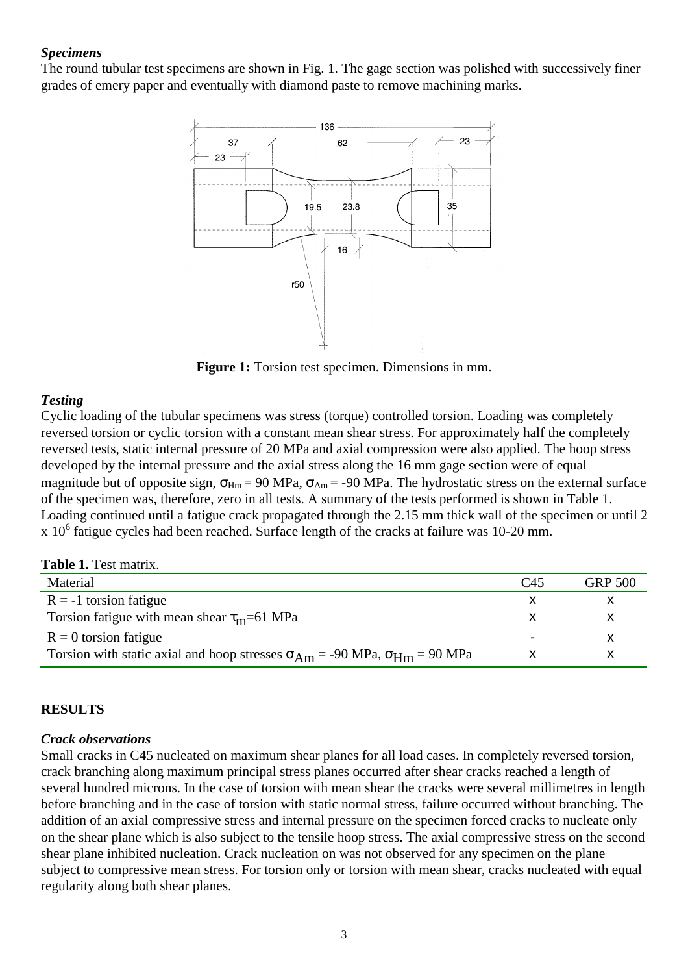### *Specimens*

The round tubular test specimens are shown in Fig. 1. The gage section was polished with successively finer grades of emery paper and eventually with diamond paste to remove machining marks.



**Figure 1:** Torsion test specimen. Dimensions in mm.

## *Testing*

Cyclic loading of the tubular specimens was stress (torque) controlled torsion. Loading was completely reversed torsion or cyclic torsion with a constant mean shear stress. For approximately half the completely reversed tests, static internal pressure of 20 MPa and axial compression were also applied. The hoop stress developed by the internal pressure and the axial stress along the 16 mm gage section were of equal magnitude but of opposite sign,  $\sigma_{Hm}$  = 90 MPa,  $\sigma_{Am}$  = -90 MPa. The hydrostatic stress on the external surface of the specimen was, therefore, zero in all tests. A summary of the tests performed is shown in Table 1. Loading continued until a fatigue crack propagated through the 2.15 mm thick wall of the specimen or until 2  $x$  10<sup>6</sup> fatigue cycles had been reached. Surface length of the cracks at failure was 10-20 mm.

#### **Table 1.** Test matrix.

| Material                                                                                    | C45                      | <b>GRP 500</b> |
|---------------------------------------------------------------------------------------------|--------------------------|----------------|
| $R = -1$ torsion fatigue                                                                    |                          |                |
| Torsion fatigue with mean shear $\tau_{m}$ =61 MPa                                          |                          |                |
| $R = 0$ torsion fatigue                                                                     | $\overline{\phantom{0}}$ |                |
| Torsion with static axial and hoop stresses $\sigma_{Am}$ = -90 MPa, $\sigma_{Hm}$ = 90 MPa |                          |                |

#### **RESULTS**

#### *Crack observations*

Small cracks in C45 nucleated on maximum shear planes for all load cases. In completely reversed torsion, crack branching along maximum principal stress planes occurred after shear cracks reached a length of several hundred microns. In the case of torsion with mean shear the cracks were several millimetres in length before branching and in the case of torsion with static normal stress, failure occurred without branching. The addition of an axial compressive stress and internal pressure on the specimen forced cracks to nucleate only on the shear plane which is also subject to the tensile hoop stress. The axial compressive stress on the second shear plane inhibited nucleation. Crack nucleation on was not observed for any specimen on the plane subject to compressive mean stress. For torsion only or torsion with mean shear, cracks nucleated with equal regularity along both shear planes.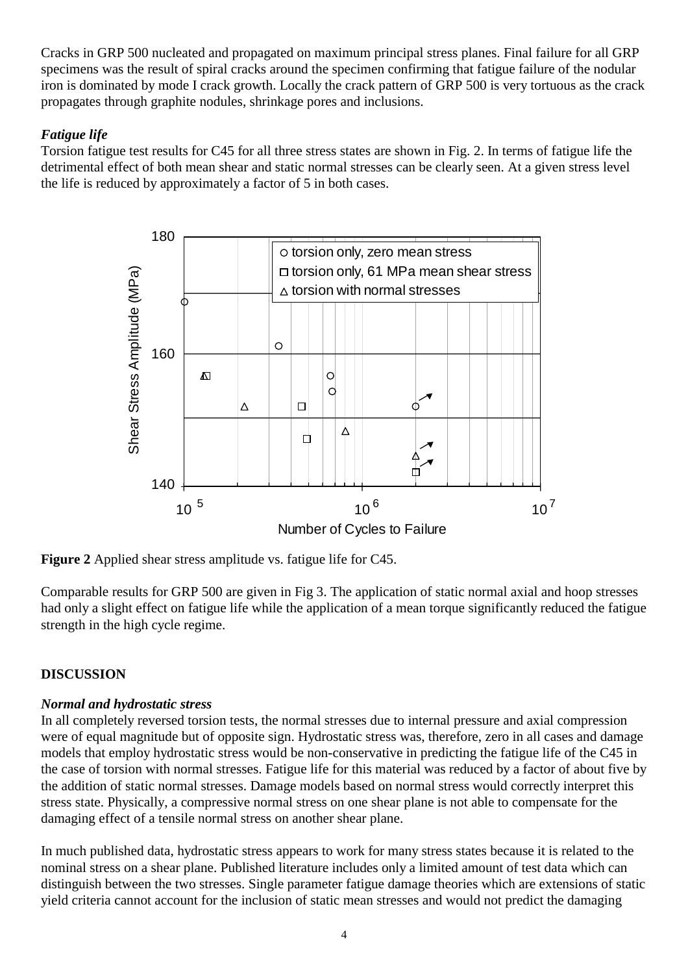Cracks in GRP 500 nucleated and propagated on maximum principal stress planes. Final failure for all GRP specimens was the result of spiral cracks around the specimen confirming that fatigue failure of the nodular iron is dominated by mode I crack growth. Locally the crack pattern of GRP 500 is very tortuous as the crack propagates through graphite nodules, shrinkage pores and inclusions.

## *Fatigue life*

Torsion fatigue test results for C45 for all three stress states are shown in Fig. 2. In terms of fatigue life the detrimental effect of both mean shear and static normal stresses can be clearly seen. At a given stress level the life is reduced by approximately a factor of 5 in both cases.



**Figure 2** Applied shear stress amplitude vs. fatigue life for C45.

Comparable results for GRP 500 are given in Fig 3. The application of static normal axial and hoop stresses had only a slight effect on fatigue life while the application of a mean torque significantly reduced the fatigue strength in the high cycle regime.

# **DISCUSSION**

## *Normal and hydrostatic stress*

In all completely reversed torsion tests, the normal stresses due to internal pressure and axial compression were of equal magnitude but of opposite sign. Hydrostatic stress was, therefore, zero in all cases and damage models that employ hydrostatic stress would be non-conservative in predicting the fatigue life of the C45 in the case of torsion with normal stresses. Fatigue life for this material was reduced by a factor of about five by the addition of static normal stresses. Damage models based on normal stress would correctly interpret this stress state. Physically, a compressive normal stress on one shear plane is not able to compensate for the damaging effect of a tensile normal stress on another shear plane.

In much published data, hydrostatic stress appears to work for many stress states because it is related to the nominal stress on a shear plane. Published literature includes only a limited amount of test data which can distinguish between the two stresses. Single parameter fatigue damage theories which are extensions of static yield criteria cannot account for the inclusion of static mean stresses and would not predict the damaging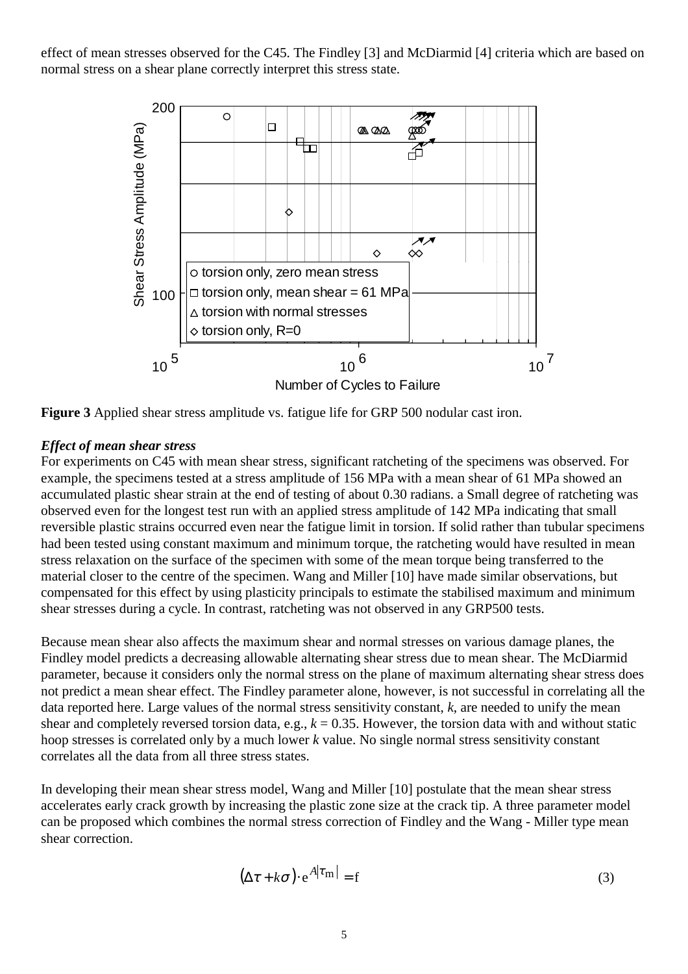effect of mean stresses observed for the C45. The Findley [3] and McDiarmid [4] criteria which are based on normal stress on a shear plane correctly interpret this stress state.



**Figure 3** Applied shear stress amplitude vs. fatigue life for GRP 500 nodular cast iron.

## *Effect of mean shear stress*

For experiments on C45 with mean shear stress, significant ratcheting of the specimens was observed. For example, the specimens tested at a stress amplitude of 156 MPa with a mean shear of 61 MPa showed an accumulated plastic shear strain at the end of testing of about 0.30 radians. a Small degree of ratcheting was observed even for the longest test run with an applied stress amplitude of 142 MPa indicating that small reversible plastic strains occurred even near the fatigue limit in torsion. If solid rather than tubular specimens had been tested using constant maximum and minimum torque, the ratcheting would have resulted in mean stress relaxation on the surface of the specimen with some of the mean torque being transferred to the material closer to the centre of the specimen. Wang and Miller [10] have made similar observations, but compensated for this effect by using plasticity principals to estimate the stabilised maximum and minimum shear stresses during a cycle. In contrast, ratcheting was not observed in any GRP500 tests.

Because mean shear also affects the maximum shear and normal stresses on various damage planes, the Findley model predicts a decreasing allowable alternating shear stress due to mean shear. The McDiarmid parameter, because it considers only the normal stress on the plane of maximum alternating shear stress does not predict a mean shear effect. The Findley parameter alone, however, is not successful in correlating all the data reported here. Large values of the normal stress sensitivity constant, *k*, are needed to unify the mean shear and completely reversed torsion data, e.g.,  $k = 0.35$ . However, the torsion data with and without static hoop stresses is correlated only by a much lower *k* value. No single normal stress sensitivity constant correlates all the data from all three stress states.

In developing their mean shear stress model, Wang and Miller [10] postulate that the mean shear stress accelerates early crack growth by increasing the plastic zone size at the crack tip. A three parameter model can be proposed which combines the normal stress correction of Findley and the Wang - Miller type mean shear correction.

$$
(\Delta \tau + k\sigma) \cdot e^{A|\tau_m|} = f \tag{3}
$$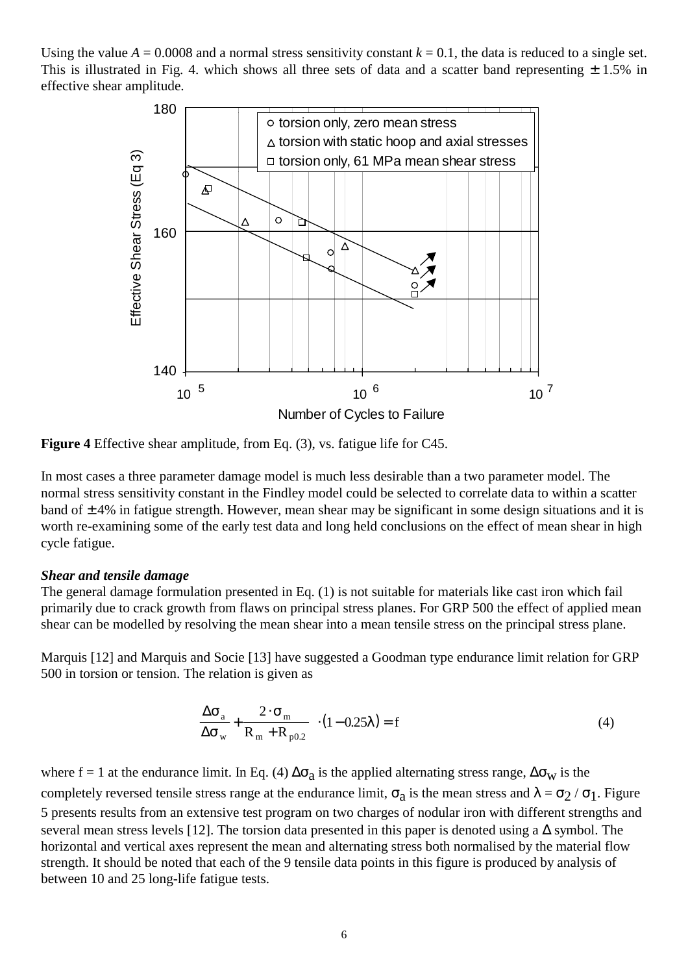Using the value  $A = 0.0008$  and a normal stress sensitivity constant  $k = 0.1$ , the data is reduced to a single set. This is illustrated in Fig. 4. which shows all three sets of data and a scatter band representing  $\pm$  1.5% in effective shear amplitude.



**Figure 4** Effective shear amplitude, from Eq. (3), vs. fatigue life for C45.

In most cases a three parameter damage model is much less desirable than a two parameter model. The normal stress sensitivity constant in the Findley model could be selected to correlate data to within a scatter band of  $\pm 4\%$  in fatigue strength. However, mean shear may be significant in some design situations and it is worth re-examining some of the early test data and long held conclusions on the effect of mean shear in high cycle fatigue.

#### *Shear and tensile damage*

The general damage formulation presented in Eq. (1) is not suitable for materials like cast iron which fail primarily due to crack growth from flaws on principal stress planes. For GRP 500 the effect of applied mean shear can be modelled by resolving the mean shear into a mean tensile stress on the principal stress plane.

Marquis [12] and Marquis and Socie [13] have suggested a Goodman type endurance limit relation for GRP 500 in torsion or tension. The relation is given as

$$
\left(\frac{\Delta\sigma_{a}}{\Delta\sigma_{w}} + \frac{2 \cdot \sigma_{m}}{R_{m} + R_{p0.2}}\right) \cdot (1 - 0.25\lambda) = f
$$
\n(4)

where f = 1 at the endurance limit. In Eq. (4)  $\Delta\sigma_a$  is the applied alternating stress range,  $\Delta\sigma_w$  is the completely reversed tensile stress range at the endurance limit,  $\sigma_a$  is the mean stress and  $\lambda = \sigma_2 / \sigma_1$ . Figure 5 presents results from an extensive test program on two charges of nodular iron with different strengths and several mean stress levels [12]. The torsion data presented in this paper is denoted using a ∆ symbol. The horizontal and vertical axes represent the mean and alternating stress both normalised by the material flow strength. It should be noted that each of the 9 tensile data points in this figure is produced by analysis of between 10 and 25 long-life fatigue tests.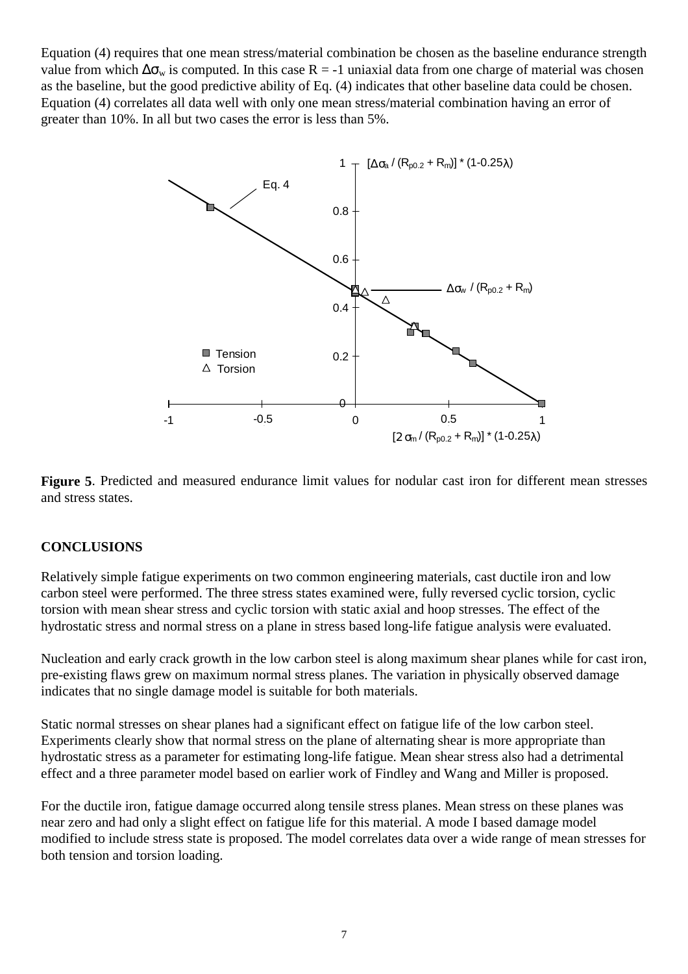Equation (4) requires that one mean stress/material combination be chosen as the baseline endurance strength value from which  $\Delta\sigma_w$  is computed. In this case R = -1 uniaxial data from one charge of material was chosen as the baseline, but the good predictive ability of Eq. (4) indicates that other baseline data could be chosen. Equation (4) correlates all data well with only one mean stress/material combination having an error of greater than 10%. In all but two cases the error is less than 5%.



**Figure 5**. Predicted and measured endurance limit values for nodular cast iron for different mean stresses and stress states.

## **CONCLUSIONS**

Relatively simple fatigue experiments on two common engineering materials, cast ductile iron and low carbon steel were performed. The three stress states examined were, fully reversed cyclic torsion, cyclic torsion with mean shear stress and cyclic torsion with static axial and hoop stresses. The effect of the hydrostatic stress and normal stress on a plane in stress based long-life fatigue analysis were evaluated.

Nucleation and early crack growth in the low carbon steel is along maximum shear planes while for cast iron, pre-existing flaws grew on maximum normal stress planes. The variation in physically observed damage indicates that no single damage model is suitable for both materials.

Static normal stresses on shear planes had a significant effect on fatigue life of the low carbon steel. Experiments clearly show that normal stress on the plane of alternating shear is more appropriate than hydrostatic stress as a parameter for estimating long-life fatigue. Mean shear stress also had a detrimental effect and a three parameter model based on earlier work of Findley and Wang and Miller is proposed.

For the ductile iron, fatigue damage occurred along tensile stress planes. Mean stress on these planes was near zero and had only a slight effect on fatigue life for this material. A mode I based damage model modified to include stress state is proposed. The model correlates data over a wide range of mean stresses for both tension and torsion loading.